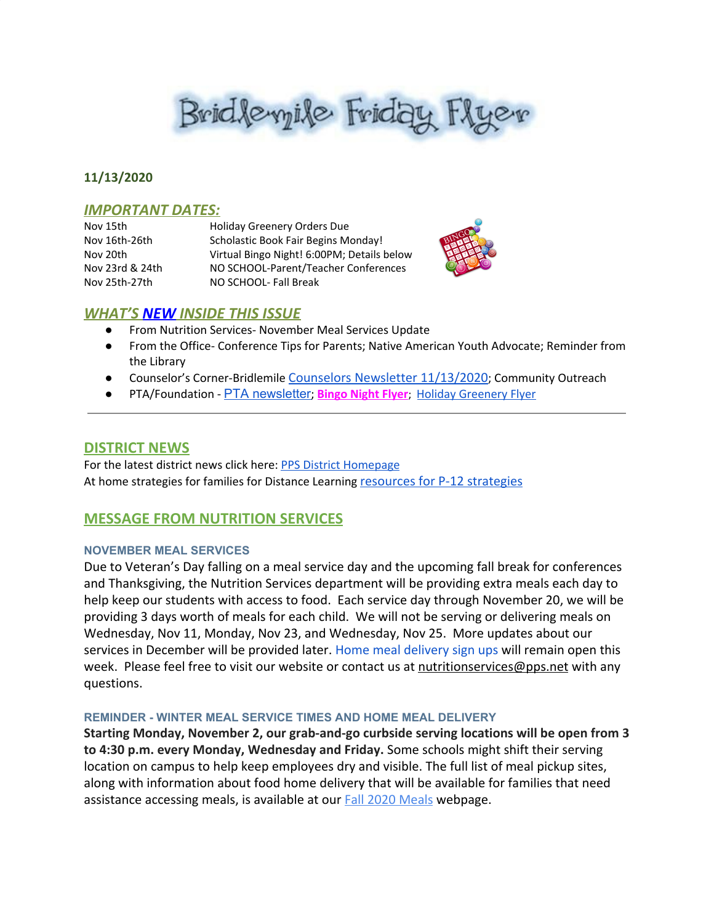# Brid levyile Friday Flyer

#### **11/13/2020**

#### *IMPORTANT DATES:*

Nov 15th Holiday Greenery Orders Due Nov 16th-26th Scholastic Book Fair Begins Monday! Nov 20th Virtual Bingo Night! 6:00PM; Details below Nov 23rd & 24th NO SCHOOL-Parent/Teacher Conferences Nov 25th-27th NO SCHOOL- Fall Break



#### *WHAT'S NEW INSIDE THIS ISSUE*

- From Nutrition Services- November Meal Services Update
- From the Office- Conference Tips for Parents; Native American Youth Advocate; Reminder from the Library
- Counselor's Corner-Bridlemile [Counselors Newsletter 11/13/2020](https://docs.google.com/document/d/1cLfOStUyioM7hMWvRFqexg4g0RLh_X6n3z5o3njIsyg/edit?usp=sharing); Community Outreach
- PTA/Foundation PTA [newsletter](https://docs.google.com/document/d/e/2PACX-1vQlZCPHtKxqO7qpJwiwgoeaZ1ERHVLgg6z0JNYJMTulwn7xlOVY_X2I1ZV9nntsGHP57LEZ_uSufaFj/pub); **[Bingo](https://drive.google.com/file/d/1akmHoJNQOALsQ1ix9hIKDXQByEBp0R_d/view?usp=sharing) Night Flyer**; Holiday [Greenery](https://drive.google.com/file/d/1g_49gT35onHsDLB4u8nQCpdPjMHNzuOh/view?usp=sharing) Flyer

#### **DISTRICT NEWS**

For the latest district news click here: PPS District [Homepage](https://www.pps.net/portland) At home strategies for families for Distance Learning [resources for P-12 strategies](https://sites.google.com/pps.net/athomestrategies/home)

# **MESSAGE FROM NUTRITION SERVICES**

#### **NOVEMBER MEAL SERVICES**

Due to Veteran's Day falling on a meal service day and the upcoming fall break for conferences and Thanksgiving, the Nutrition Services department will be providing extra meals each day to help keep our students with access to food. Each service day through November 20, we will be providing 3 days worth of meals for each child. We will not be serving or delivering meals on Wednesday, Nov 11, Monday, Nov 23, and Wednesday, Nov 25. More updates about our services in December will be provided later. [Home meal delivery sign ups](https://ppsk12.co1.qualtrics.com/jfe/form/SV_1ZhC0SqMUGXU29f) will remain open this week. Please feel free to visit ou[r website](https://www.pps.net/nutrition) or contact us at nutritionservices@pps.net with any questions.

#### **REMINDER - WINTER MEAL SERVICE TIMES AND HOME MEAL DELIVERY**

**Starting Monday, November 2, our grab-and-go curbside serving locations will be open from 3 to 4:30 p.m. every Monday, Wednesday and Friday.** Some schools might shift their serving location on campus to help keep employees dry and visible. The full list of meal pickup sites, along with information about food home delivery that will be available for families that need assistance accessing meals, is available at our **[Fall 2020 Meals](https://www.pps.net/Page/15846)** [webpage](https://www.pps.net/Page/15846).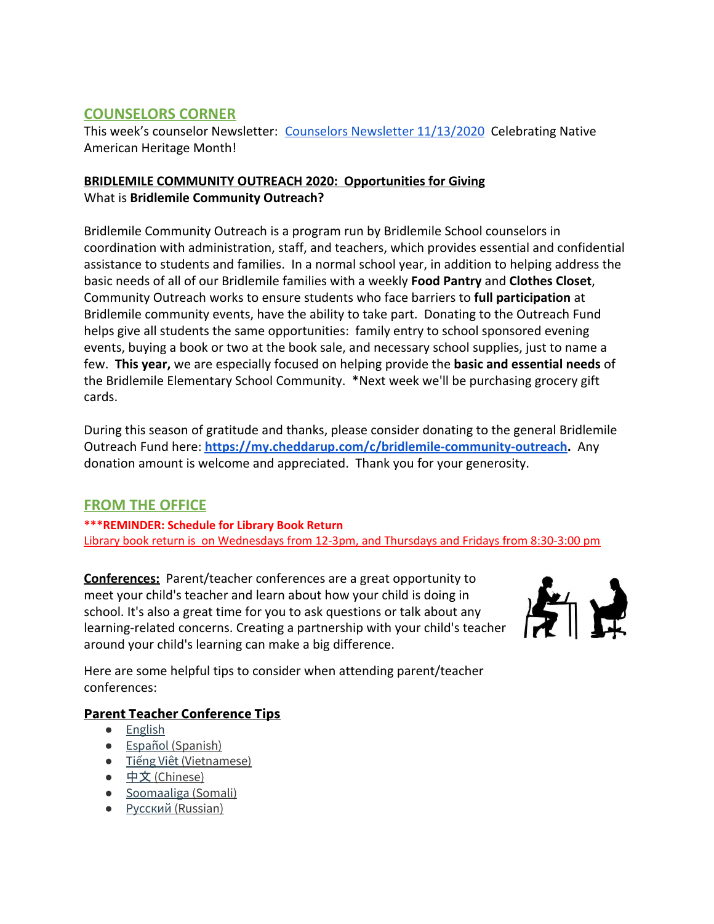# **COUNSELORS CORNER**

This week's counselor Newsletter: [Counselors Newsletter 11/13/2020](https://docs.google.com/document/d/1cLfOStUyioM7hMWvRFqexg4g0RLh_X6n3z5o3njIsyg/edit?usp=sharing) Celebrating Native American Heritage Month!

### **BRIDLEMILE COMMUNITY OUTREACH 2020: Opportunities for Giving** What is **Bridlemile Community Outreach?**

Bridlemile Community Outreach is a program run by Bridlemile School counselors in coordination with administration, staff, and teachers, which provides essential and confidential assistance to students and families. In a normal school year, in addition to helping address the basic needs of all of our Bridlemile families with a weekly **Food Pantry** and **Clothes Closet**, Community Outreach works to ensure students who face barriers to **full participation** at Bridlemile community events, have the ability to take part. Donating to the Outreach Fund helps give all students the same opportunities: family entry to school sponsored evening events, buying a book or two at the book sale, and necessary school supplies, just to name a few. **This year,** we are especially focused on helping provide the **basic and essential needs** of the Bridlemile Elementary School Community. \*Next week we'll be purchasing grocery gift cards.

During this season of gratitude and thanks, please consider donating to the general Bridlemile Outreach Fund here: **[https://my.cheddarup.com/c/bridlemile-community-outreach.](https://my.cheddarup.com/c/bridlemile-community-outreach)** Any donation amount is welcome and appreciated. Thank you for your generosity.

# **FROM THE OFFICE**

**\*\*\*REMINDER: Schedule for Library Book Return** Library book return is on Wednesdays from 12-3pm, and Thursdays and Fridays from 8:30-3:00 pm

**Conferences:** Parent/teacher conferences are a great opportunity to meet your child's teacher and learn about how your child is doing in school. It's also a great time for you to ask questions or talk about any learning-related concerns. Creating a partnership with your child's teacher around your child's learning can make a big difference.



Here are some helpful tips to consider when attending parent/teacher conferences:

# **Parent Teacher Conference Tips**

- [English](https://www.pps.net/cms/lib/OR01913224/Centricity/Domain/42/Parent-Teacher_v3.pdf)
- [Español](https://www.pps.net/cms/lib/OR01913224/Centricity/Domain/42/Parent-Teacher_SPANISH.pdf) (Spanish)
- **•** [Tiếng](https://www.pps.net/cms/lib/OR01913224/Centricity/Domain/42/Parent-Teacher_vietnamese.pdf) Việt (Vietnamese)
- [中文](https://www.pps.net/cms/lib/OR01913224/Centricity/Domain/42/Parent-Teacher_chinese.pdf) (Chinese)
- [Soomaaliga](https://www.pps.net/cms/lib/OR01913224/Centricity/Domain/42/Parent-Teacher_somali.pdf) (Somali)
- [Русский](https://www.pps.net/cms/lib/OR01913224/Centricity/Domain/42/Parent-Teacher_russian.pdf) (Russian)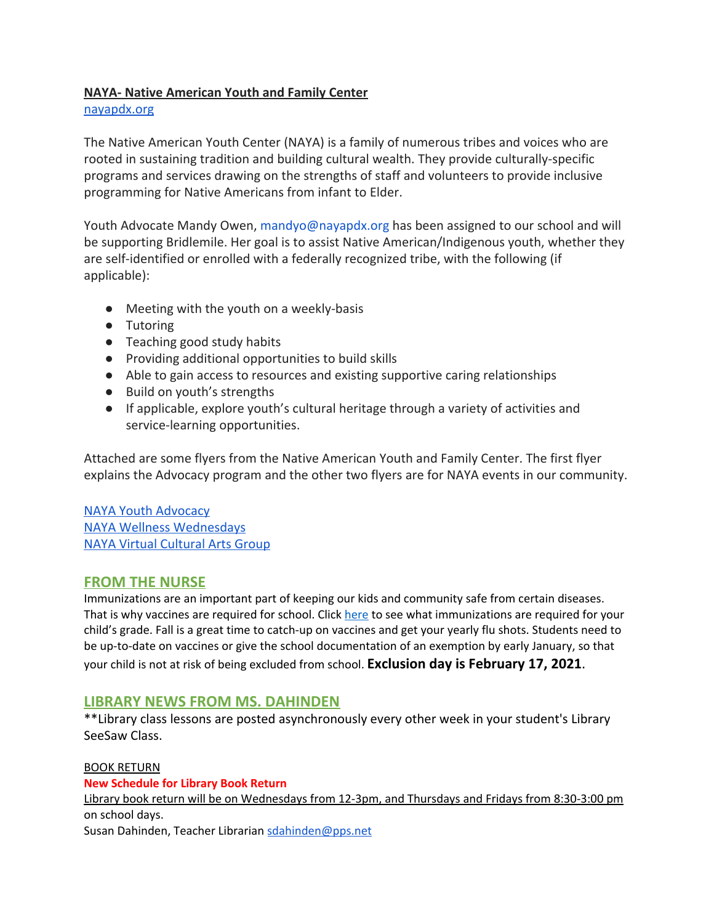### **NAYA- Native American Youth and Family Center**

#### [nayapdx.org](https://nayapdx.org/)

The Native American Youth Center (NAYA) is a family of numerous tribes and voices who are rooted in sustaining tradition and building cultural wealth. They provide culturally-specific programs and services drawing on the strengths of staff and volunteers to provide inclusive programming for Native Americans from infant to Elder.

Youth Advocate Mandy Owen, mandyo@nayapdx.org has been assigned to our school and will be supporting Bridlemile. Her goal is to assist Native American/Indigenous youth, whether they are self-identified or enrolled with a federally recognized tribe, with the following (if applicable):

- Meeting with the youth on a weekly-basis
- Tutoring
- Teaching good study habits
- Providing additional opportunities to build skills
- Able to gain access to resources and existing supportive caring relationships
- Build on youth's strengths
- If applicable, explore youth's cultural heritage through a variety of activities and service-learning opportunities.

Attached are some flyers from the Native American Youth and Family Center. The first flyer explains the Advocacy program and the other two flyers are for NAYA events in our community.

[NAYA Youth Advocacy](https://drive.google.com/file/d/1p2ukUU7QjXjolNIle1lrpc5SdTTSUnxI/view?usp=sharing) [NAYA Wellness Wednesdays](https://drive.google.com/file/d/1As7PPveuOSnVdlhv9ZVPGKTQB1PfEKBC/view?usp=sharing) [NAYA Virtual Cultural Arts Group](https://drive.google.com/file/d/10S3eeYxJFn_Xf6K2yqVj6AsCn_zKpi7-/view?usp=sharing)

# **FROM THE NURSE**

Immunizations are an important part of keeping our kids and community safe from certain diseases. That is why vaccines are required for school. Click [here](https://www.oregon.gov/oha/PH/PREVENTIONWELLNESS/VACCINESIMMUNIZATION/GETTINGIMMUNIZED/Pages/SchRequiredImm.aspx) to see what immunizations are required for your child's grade. Fall is a great time to catch-up on vaccines and get your yearly flu shots. Students need to be up-to-date on vaccines or give the school documentation of an exemption by early January, so that your child is not at risk of being excluded from school. **Exclusion day is February 17, 2021**.

# **LIBRARY NEWS FROM MS. DAHINDEN**

\*\*Library class lessons are posted asynchronously every other week in your student's Library SeeSaw Class.

#### BOOK RETURN

**New Schedule for Library Book Return**

Library book return will be on Wednesdays from 12-3pm, and Thursdays and Fridays from 8:30-3:00 pm on school days.

Susan Dahinden, Teacher Librarian [sdahinden@pps.net](mailto:sdahinden@pps.net)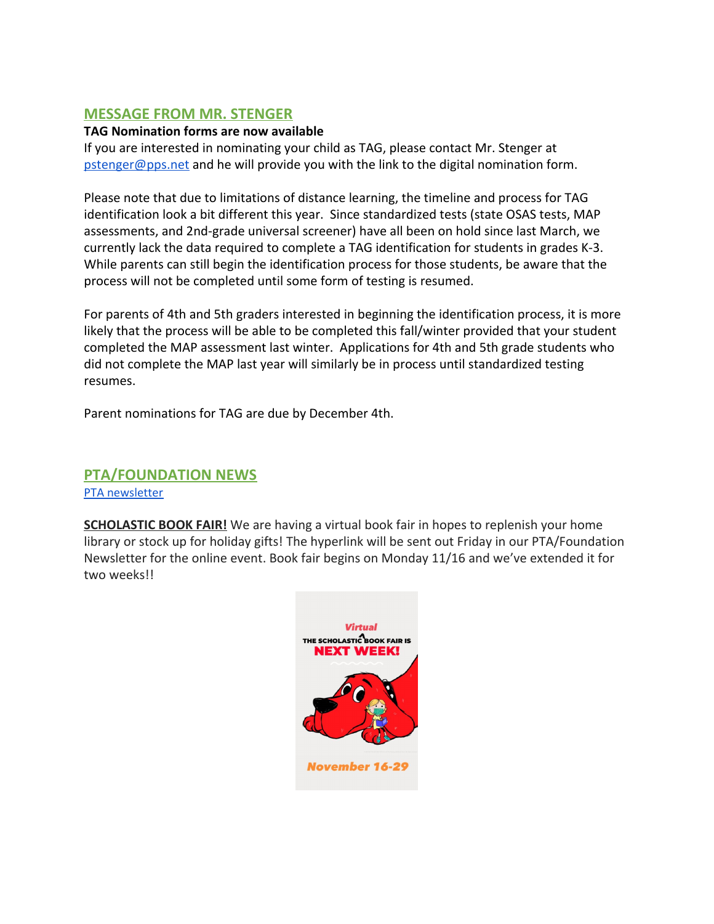# **MESSAGE FROM MR. STENGER**

#### **TAG Nomination forms are now available**

If you are interested in nominating your child as TAG, please contact Mr. Stenger at [pstenger@pps.net](mailto:pstenger@pps.net) and he will provide you with the link to the digital nomination form.

Please note that due to limitations of distance learning, the timeline and process for TAG identification look a bit different this year. Since standardized tests (state OSAS tests, MAP assessments, and 2nd-grade universal screener) have all been on hold since last March, we currently lack the data required to complete a TAG identification for students in grades K-3. While parents can still begin the identification process for those students, be aware that the process will not be completed until some form of testing is resumed.

For parents of 4th and 5th graders interested in beginning the identification process, it is more likely that the process will be able to be completed this fall/winter provided that your student completed the MAP assessment last winter. Applications for 4th and 5th grade students who did not complete the MAP last year will similarly be in process until standardized testing resumes.

Parent nominations for TAG are due by December 4th.

# **PTA/FOUNDATION NEWS**

PTA [newsletter](https://docs.google.com/document/d/e/2PACX-1vQlZCPHtKxqO7qpJwiwgoeaZ1ERHVLgg6z0JNYJMTulwn7xlOVY_X2I1ZV9nntsGHP57LEZ_uSufaFj/pub)

**SCHOLASTIC BOOK FAIR!** We are having a virtual book fair in hopes to replenish your home library or stock up for holiday gifts! The hyperlink will be sent out Friday in our PTA/Foundation Newsletter for the online event. Book fair begins on Monday 11/16 and we've extended it for two weeks!!

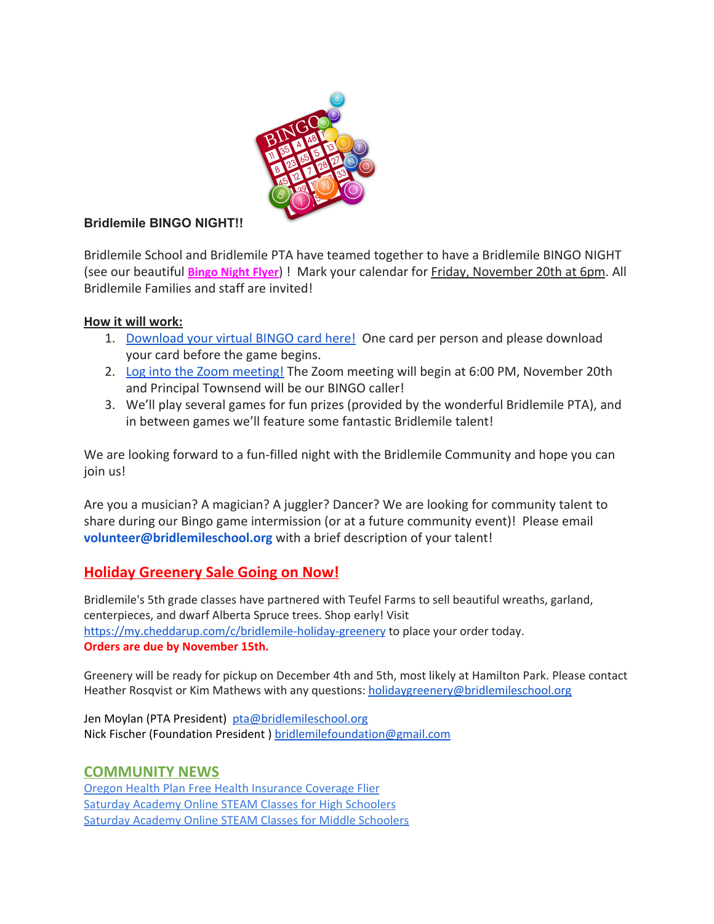

#### **Bridlemile BINGO NIGHT!!**

Bridlemile School and Bridlemile PTA have teamed together to have a Bridlemile BINGO NIGHT (see our beautiful **[Bingo](https://drive.google.com/file/d/1akmHoJNQOALsQ1ix9hIKDXQByEBp0R_d/view?usp=sharing) Night Flyer**) ! Mark your calendar for Friday, November 20th at 6pm. All Bridlemile Families and staff are invited!

#### **How it will work:**

- 1. [Download your virtual BINGO card here!](https://mfbc.us/v/xvrdfw7) One card per person and please download your card before the game begins.
- 2. [Log into the Zoom meeting!](https://pps-net.zoom.us/j/81378511072) The Zoom meeting will begin at 6:00 PM, November 20th and Principal Townsend will be our BINGO caller!
- 3. We'll play several games for fun prizes (provided by the wonderful Bridlemile PTA), and in between games we'll feature some fantastic Bridlemile talent!

We are looking forward to a fun-filled night with the Bridlemile Community and hope you can join us!

Are you a musician? A magician? A juggler? Dancer? We are looking for community talent to share during our Bingo game intermission (or at a future community event)! Please email **volunteer@bridlemileschool.org** with a brief description of your talent!

# **Holiday Greenery Sale Going on Now!**

Bridlemile's 5th grade classes have partnered with Teufel Farms to sell beautiful wreaths, garland, centerpieces, and dwarf Alberta Spruce trees. Shop early! Visit <https://my.cheddarup.com/c/bridlemile-holiday-greenery> to place your order today. **Orders are due by November 15th.**

Greenery will be ready for pickup on December 4th and 5th, most likely at Hamilton Park. Please contact Heather Rosqvist or Kim Mathews with any questions: [holidaygreenery@bridlemileschool.org](mailto:holidaygreenery@bridlemileschool.org)

Jen Moylan (PTA President) [pta@bridlemileschool.org](mailto:pta@bridlemileschool.org) Nick Fischer (Foundation President) [bridlemilefoundation@gmail.com](mailto:bridlemilefoundation@gmail.com)

# **COMMUNITY NEWS**

Oregon Health Plan Free Health [Insurance](https://www.pps.net/cms/lib/OR01913224/Centricity/Domain/4/Back_to_School-OHP_OHIM_Health_Coverage_Flier.pdf) Coverage Flier Saturday Academy Online STEAM Classes for High [Schoolers](https://www.pps.net/cms/lib/OR01913224/Centricity/Domain/75/SA_Fall_2020_Flyers_High_School_Classes.pdf) Saturday Academy Online STEAM Classes for Middle [Schoolers](https://www.pps.net/cms/lib/OR01913224/Centricity/Domain/75/SA_Fall_2020_Flyers_Middle_School_Classes.pdf)